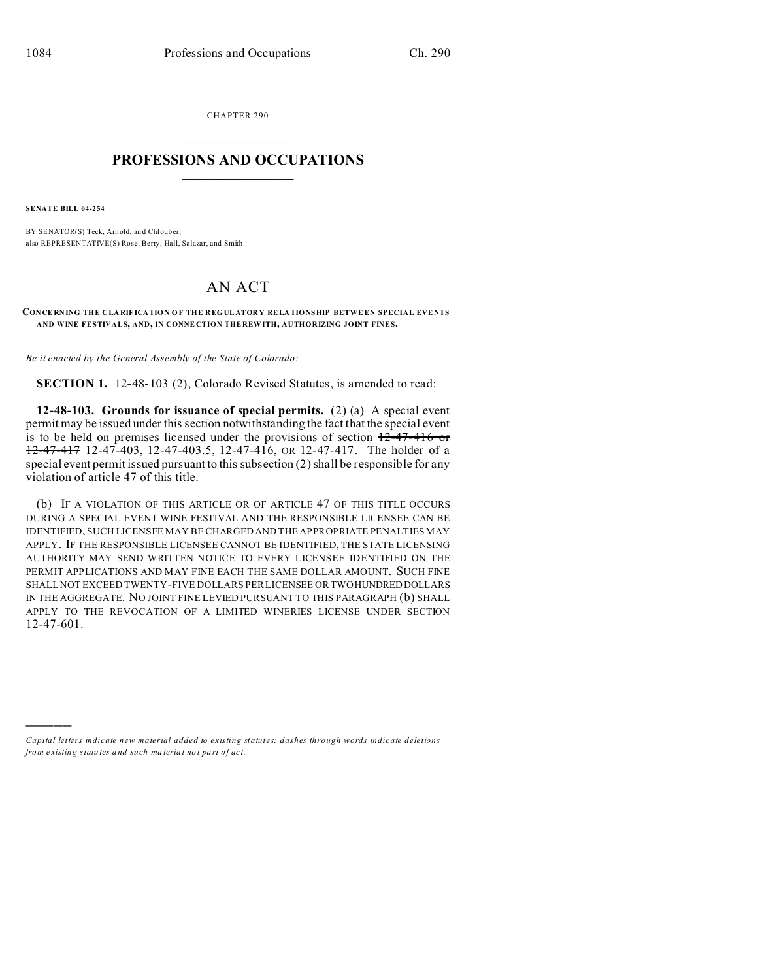CHAPTER 290  $\overline{\phantom{a}}$  , where  $\overline{\phantom{a}}$ 

## **PROFESSIONS AND OCCUPATIONS**  $\frac{1}{2}$  ,  $\frac{1}{2}$  ,  $\frac{1}{2}$  ,  $\frac{1}{2}$  ,  $\frac{1}{2}$  ,  $\frac{1}{2}$  ,  $\frac{1}{2}$

**SENATE BILL 04-254**

)))))

BY SENATOR(S) Teck, Arnold, and Chlouber; also REPRESENTATIVE(S) Rose, Berry, Hall, Salazar, and Smith.

## AN ACT

## **CON CE RNING THE C LA RIF ICATION O F THE R EG UL ATOR Y RELA TIONSHIP BETWE EN SPECIAL EVENTS AND WINE FESTIVALS, AND, IN CONNE CTION THE REW ITH, AUTHORIZING JOINT FINES.**

*Be it enacted by the General Assembly of the State of Colorado:*

**SECTION 1.** 12-48-103 (2), Colorado Revised Statutes, is amended to read:

**12-48-103. Grounds for issuance of special permits.** (2) (a) A special event permit may be issued under this section notwithstanding the fact that the special event is to be held on premises licensed under the provisions of section  $+2-47-416$  or 12-47-417 12-47-403, 12-47-403.5, 12-47-416, OR 12-47-417. The holder of a special event permit issued pursuant to this subsection (2) shall be responsible for any violation of article 47 of this title.

(b) IF A VIOLATION OF THIS ARTICLE OR OF ARTICLE 47 OF THIS TITLE OCCURS DURING A SPECIAL EVENT WINE FESTIVAL AND THE RESPONSIBLE LICENSEE CAN BE IDENTIFIED, SUCH LICENSEE MAY BE CHARGED AND THE APPROPRIATE PENALTIES MAY APPLY. IF THE RESPONSIBLE LICENSEE CANNOT BE IDENTIFIED, THE STATE LICENSING AUTHORITY MAY SEND WRITTEN NOTICE TO EVERY LICENSEE IDENTIFIED ON THE PERMIT APPLICATIONS AND MAY FINE EACH THE SAME DOLLAR AMOUNT. SUCH FINE SHALL NOT EXCEED TWENTY-FIVE DOLLARS PER LICENSEE OR TWOHUNDRED DOLLARS IN THE AGGREGATE. NO JOINT FINE LEVIED PURSUANT TO THIS PARAGRAPH (b) SHALL APPLY TO THE REVOCATION OF A LIMITED WINERIES LICENSE UNDER SECTION 12-47-601.

*Capital letters indicate new material added to existing statutes; dashes through words indicate deletions from e xistin g statu tes a nd such ma teria l no t pa rt of ac t.*